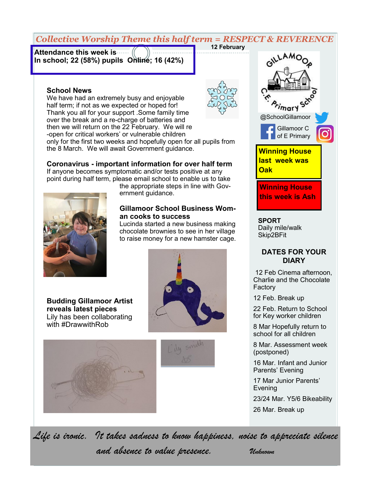### *Collective Worship Theme this half term = RESPECT & REVERENCE* **12 February**

**Attendance this week is In school; 22 (58%) pupils Online; 16 (42%)** 

#### **School News**

We have had an extremely busy and enjoyable half term; if not as we expected or hoped for! Thank you all for your support .Some family time over the break and a re-charge of batteries and then we will return on the 22 February. We will re -open for critical workers' or vulnerable children

only for the first two weeks and hopefully open for all pupils from the 8 March. We will await Government guidance.

# **Coronavirus - important information for over half term**

If anyone becomes symptomatic and/or tests positive at any point during half term, please email school to enable us to take



the appropriate steps in line with Government guidance.

## **Gillamoor School Business Woman cooks to success**

Lucinda started a new business making chocolate brownies to see in her village to raise money for a new hamster cage.

**Budding Gillamoor Artist reveals latest pieces** Lily has been collaborating with #DrawwithRob









**SPORT** Daily mile/walk Skip2BFit

## **DATES FOR YOUR DIARY**

12 Feb Cinema afternoon, Charlie and the Chocolate Factory

12 Feb. Break up

22 Feb. Return to School for Key worker children

8 Mar Hopefully return to school for all children

8 Mar. Assessment week (postponed)

16 Mar. Infant and Junior Parents' Evening

17 Mar Junior Parents' Evening

23/24 Mar. Y5/6 Bikeability

26 Mar. Break up

*Life is ironic. It takes sadness to know happiness, noise to appreciate silence and absence to value presence. Unknown*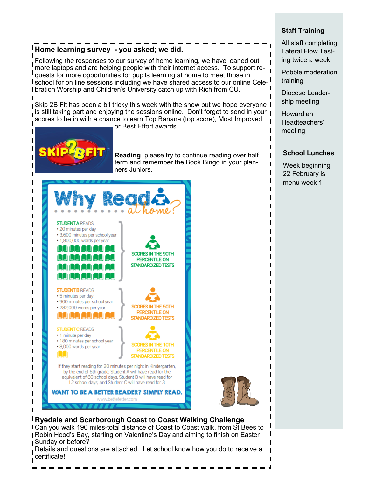# **Home learning survey - you asked; we did.**

Following the responses to our survey of home learning, we have loaned out more laptops and are helping people with their internet access. To support requests for more opportunities for pupils learning at home to meet those in **I** school for on line sessions including we have shared access to our online Celebration Worship and Children's University catch up with Rich from CU.

**Sharest 2B Fit has been a bit tricky this week with the snow but we hope everyone I**  $\overline{\phantom{i}}$  is still taking part and enjoying the sessions online. Don't forget to send in your  $\overline{\phantom{i}}$ scores to be in with a chance to earn Top Banana (top score), Most Improved or Best Effort awards.



ı

ı

ı

ı

ı

ı

п

ı ı

ı

ı

ı

I

ı

ı

ı

ı

I

ı

**Reading** please try to continue reading over half term and remember the Book Bingo in your planners Juniors.



# **Ryedale and Scarborough Coast to Coast Walking Challenge**

Can you walk 190 miles-total distance of Coast to Coast walk, from St Bees to Robin Hood's Bay, starting on Valentine's Day and aiming to finish on Easter Sunday or before?

Details and questions are attached. Let school know how you do to receive a certificate!

## **Staff Training**

All staff completing Lateral Flow Testing twice a week.

Pobble moderation training

Diocese Leadership meeting

Howardian Headteachers' meeting

### **School Lunches**

Week beginning 22 February is menu week 1

L ı